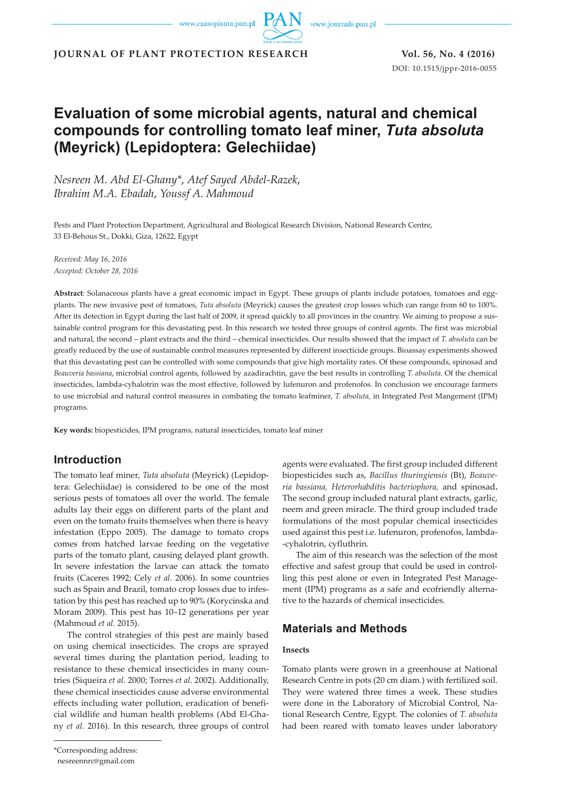www.journals.pan.pl

**JOURNAL OF PLANT PROTECTION RESEARCH Vol. 56, No. 4 (2016)**

DOI: 10.1515/jppr-2016-0055

# **Evaluation of some microbial agents, natural and chemical compounds for controlling tomato leaf miner,** *Tuta absoluta* **(Meyrick) (Lepidoptera: Gelechiidae)**

*Nesreen M. Abd El-Ghany\**, *Atef Sayed Abdel-Razek*, *Ibrahim M.A. Ebadah*, *Youssf A. Mahmoud*

Pests and Plant Protection Department, Agricultural and Biological Research Division, National Research Centre, 33 El-Behous St., Dokki, Giza, 12622, Egypt

*Received: May 16, 2016 Accepted: October 28, 2016*

**Abstract**: Solanaceous plants have a great economic impact in Egypt. These groups of plants include potatoes, tomatoes and eggplants. The new invasive pest of tomatoes, *Tuta absoluta* (Meyrick) causes the greatest crop losses which can range from 60 to 100%. After its detection in Egypt during the last half of 2009, it spread quickly to all provinces in the country. We aiming to propose a sustainable control program for this devastating pest. In this research we tested three groups of control agents. The first was microbial and natural, the second – plant extracts and the third – chemical insecticides. Our results showed that the impact of *T. absoluta* can be greatly reduced by the use of sustainable control measures represented by different insecticide groups. Bioassay experiments showed that this devastating pest can be controlled with some compounds that give high mortality rates. Of these compounds, spinosad and *Beauveria bassiana*, microbial control agents, followed by azadirachtin, gave the best results in controlling *T. absoluta*. Of the chemical insecticides, lambda-cyhalotrin was the most effective, followed by lufenuron and profenofos. In conclusion we encourage farmers to use microbial and natural control measures in combating the tomato leafminer, *T. absoluta,* in Integrated Pest Mangement (IPM) programs.

**Key words:** biopesticides, IPM programs, natural insecticides, tomato leaf miner

# **Introduction**

The tomato leaf miner, *Tuta absoluta* (Meyrick) (Lepidoptera: Gelechiidae) is considered to be one of the most serious pests of tomatoes all over the world. The female adults lay their eggs on different parts of the plant and even on the tomato fruits themselves when there is heavy infestation (Eppo 2005). The damage to tomato crops comes from hatched larvae feeding on the vegetative parts of the tomato plant, causing delayed plant growth. In severe infestation the larvae can attack the tomato fruits (Caceres 1992; Cely *et al.* 2006). In some countries such as Spain and Brazil, tomato crop losses due to infestation by this pest has reached up to 90% (Korycinska and Moram 2009). This pest has 10–12 generations per year (Mahmoud *et al.* 2015).

The control strategies of this pest are mainly based on using chemical insecticides. The crops are sprayed several times during the plantation period, leading to resistance to these chemical insecticides in many countries (Siqueira *et al*. 2000; Torres *et al*. 2002). Additionally, these chemical insecticides cause adverse environmental effects including water pollution, eradication of beneficial wildlife and human health problems (Abd El-Ghany *et al.* 2016). In this research, three groups of control

\*Corresponding address:

agents were evaluated. The first group included different biopesticides such as, *Bacillus thuringiensis* (Bt), *Beauveria bassiana, Heterorhabditis bacteriophora,* and spinosad**.** The second group included natural plant extracts, garlic, neem and green miracle. The third group included trade formulations of the most popular chemical insecticides used against this pest i.e. lufenuron, profenofos, lambda- -cyhalotrin, cyfluthrin.

The aim of this research was the selection of the most effective and safest group that could be used in controlling this pest alone or even in Integrated Pest Management (IPM) programs as a safe and ecofriendly alternative to the hazards of chemical insecticides.

# **Materials and Methods**

### **Insects**

Tomato plants were grown in a greenhouse at National Research Centre in pots (20 cm diam.) with fertilized soil. They were watered three times a week. These studies were done in the Laboratory of Microbial Control, National Research Centre, Egypt. The colonies of *T. absoluta* had been reared with tomato leaves under laboratory

nesreennrc@gmail.com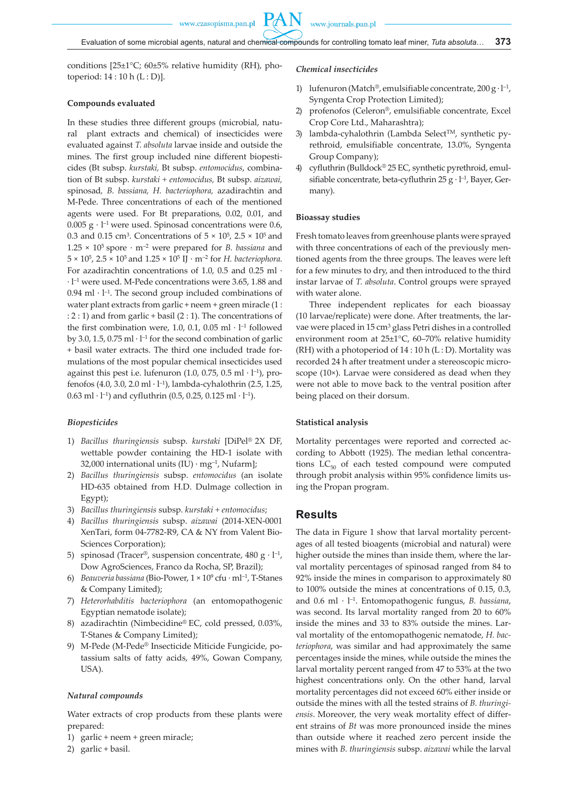**PAN** 

conditions [25±1°C; 60±5% relative humidity (RH), photoperiod: 14 : 10 h (L : D)].

#### **Compounds evaluated**

In these studies three different groups (microbial, natural plant extracts and chemical) of insecticides were evaluated against *T. absoluta* larvae inside and outside the mines. The first group included nine different biopesticides (Bt subsp. *kurstaki,* Bt subsp. *entomocidus*, combination of Bt subsp. *kurstaki + entomocidus,* Bt subsp. *aizawai,*  spinosad*, B. bassiana, H. bacteriophora,* azadirachtin and M-Pede. Three concentrations of each of the mentioned agents were used. For Bt preparations, 0.02, 0.01, and 0.005  $g \cdot l^{-1}$  were used. Spinosad concentrations were 0.6, 0.3 and 0.15 cm<sup>3</sup>. Concentrations of  $5 \times 10^5$ ,  $2.5 \times 10^5$  and  $1.25 \times 10^5$  spore  $\cdot$  m<sup>-2</sup> were prepared for *B. bassiana* and 5 × 105, 2.5 × 105 and 1.25 × 105 IJ · m–2 for *H. bacteriophora.* For azadirachtin concentrations of 1.0, 0.5 and 0.25 ml  $\cdot$ · l–1 were used. M-Pede concentrations were 3.65, 1.88 and 0.94 ml  $\cdot$  l<sup>-1</sup>. The second group included combinations of water plant extracts from garlic + neem + green miracle (1 : : 2 : 1) and from garlic + basil (2 : 1). The concentrations of the first combination were, 1.0, 0.1, 0.05 ml  $\cdot$  l<sup>-1</sup> followed by 3.0, 1.5, 0.75 ml  $\cdot$  l<sup>-1</sup> for the second combination of garlic + basil water extracts. The third one included trade formulations of the most popular chemical insecticides used against this pest i.e. lufenuron (1.0, 0.75, 0.5 ml  $\cdot$  l<sup>-1</sup>), profenofos (4.0, 3.0, 2.0 ml · l–1), lambda-cyhalothrin (2.5, 1.25, 0.63 ml · l<sup>-1</sup>) and cyfluthrin (0.5, 0.25, 0.125 ml · l<sup>-1</sup>).

#### *Biopesticides*

- 1) *Bacillus thuringiensis* subsp. *kurstaki* [DiPel® 2X DF, wettable powder containing the HD-1 isolate with 32,000 international units  $(IU) \cdot mg^{-1}$ , Nufarm];
- 2) *Bacillus thuringiensis* subsp. *entomocidus* (an isolate HD-635 obtained from H.D. Dulmage collection in Egypt);
- 3) *Bacillus thuringiensis* subsp. *kurstaki + entomocidus*;
- 4) *Bacillus thuringiensis* subsp. *aizawai* (2014-XEN-0001 XenTari, form 04-7782-R9, CA & NY from Valent Bio-Sciences Corporation);
- 5) spinosad (Tracer®, suspension concentrate, 480 g ·  $l^{-1}$ , Dow AgroSciences, Franco da Rocha, SP, Brazil);
- 6) *Beauveria bassiana* (Bio-Power, 1 × 109 cfu · ml–1, T-Stanes & Company Limited);
- 7) *Heterorhabditis bacteriophora* (an entomopathogenic Egyptian nematode isolate);
- 8) azadirachtin (Nimbecidine® EC, cold pressed, 0.03%, T-Stanes & Company Limited);
- 9) M-Pede (M-Pede® Insecticide Miticide Fungicide, potassium salts of fatty acids, 49%, Gowan Company, USA).

#### *Natural compounds*

Water extracts of crop products from these plants were prepared:

- 1) garlic + neem + green miracle;
- 2) garlic + basil.

### *Chemical insecticides*

- 1) lufenuron (Match®, emulsifiable concentrate,  $200 \text{ g} \cdot \text{l}^{-1}$ , Syngenta Crop Protection Limited);
- 2) profenofos (Celeron®, emulsifiable concentrate, Excel Crop Core Ltd., Maharashtra);
- 3) lambda-cyhalothrin (Lambda Select™, synthetic pyrethroid, emulsifiable concentrate, 13.0%, Syngenta Group Company);
- 4) cyfluthrin (Bulldock® 25 EC, synthetic pyrethroid, emulsifiable concentrate, beta-cyfluthrin 25 g  $\cdot$  l<sup>-1</sup>, Bayer, Germany).

#### **Bioassay studies**

Fresh tomato leaves from greenhouse plants were sprayed with three concentrations of each of the previously mentioned agents from the three groups. The leaves were left for a few minutes to dry, and then introduced to the third instar larvae of *T. absoluta*. Control groups were sprayed with water alone.

Three independent replicates for each bioassay (10 larvae/replicate) were done. After treatments, the larvae were placed in 15 cm3 glass Petri dishes in a controlled environment room at 25±1°C, 60–70% relative humidity (RH) with a photoperiod of  $14:10 h (L : D)$ . Mortality was recorded 24 h after treatment under a stereoscopic microscope (10×). Larvae were considered as dead when they were not able to move back to the ventral position after being placed on their dorsum.

#### **Statistical analysis**

Mortality percentages were reported and corrected according to Abbott (1925). The median lethal concentrations  $LC_{50}$  of each tested compound were computed through probit analysis within 95% confidence limits using the Propan program.

### **Results**

The data in Figure 1 show that larval mortality percentages of all tested bioagents (microbial and natural) were higher outside the mines than inside them, where the larval mortality percentages of spinosad ranged from 84 to 92% inside the mines in comparison to approximately 80 to 100% outside the mines at concentrations of 0.15, 0.3, and 0.6 ml · l–1. Entomopathogenic fungus, *B. bassiana*, was second. Its larval mortality ranged from 20 to 60% inside the mines and 33 to 83% outside the mines. Larval mortality of the entomopathogenic nematode, *H. bacteriophora*, was similar and had approximately the same percentages inside the mines, while outside the mines the larval mortality percent ranged from 47 to 53% at the two highest concentrations only. On the other hand, larval mortality percentages did not exceed 60% either inside or outside the mines with all the tested strains of *B. thuringiensis*. Moreover, the very weak mortality effect of different strains of *Bt* was more pronounced inside the mines than outside where it reached zero percent inside the mines with *B. thuringiensis* subsp. *aizawai* while the larval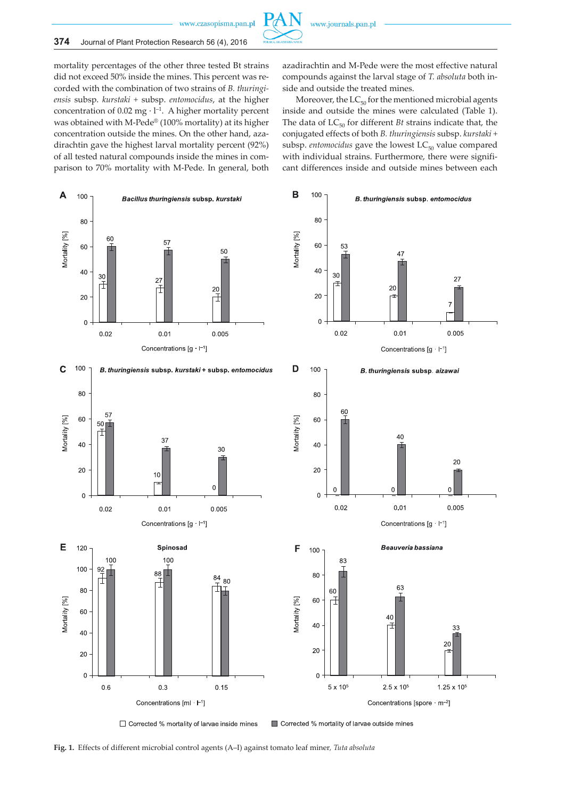

#### **374** Journal of Plant Protection Research 56 (4), 2016

mortality percentages of the other three tested Bt strains did not exceed 50% inside the mines. This percent was recorded with the combination of two strains of *B. thuringiensis* subsp. *kurstaki +* subsp. *entomocidus*, at the higher concentration of 0.02 mg  $\cdot$  l<sup>-1</sup>. A higher mortality percent was obtained with M-Pede® (100% mortality) at its higher concentration outside the mines. On the other hand, azadirachtin gave the highest larval mortality percent (92%) of all tested natural compounds inside the mines in comparison to 70% mortality with M-Pede. In general, both azadirachtin and M-Pede were the most effective natural compounds against the larval stage of *T. absoluta* both inside and outside the treated mines.

Moreover, the  $LC_{50}$  for the mentioned microbial agents inside and outside the mines were calculated (Table 1). The data of  $LC_{50}$  for different *Bt* strains indicate that, the conjugated effects of both *B. thuringiensis* subsp. *kurstaki +*  subsp. *entomocidus* gave the lowest  $LC_{50}$  value compared with individual strains. Furthermore, there were significant differences inside and outside mines between each



□ Corrected % mortality of larvae inside mines

Corrected % mortality of larvae outside mines

**Fig. 1.** Effects of different microbial control agents (A–I) against tomato leaf miner*, Tuta absoluta*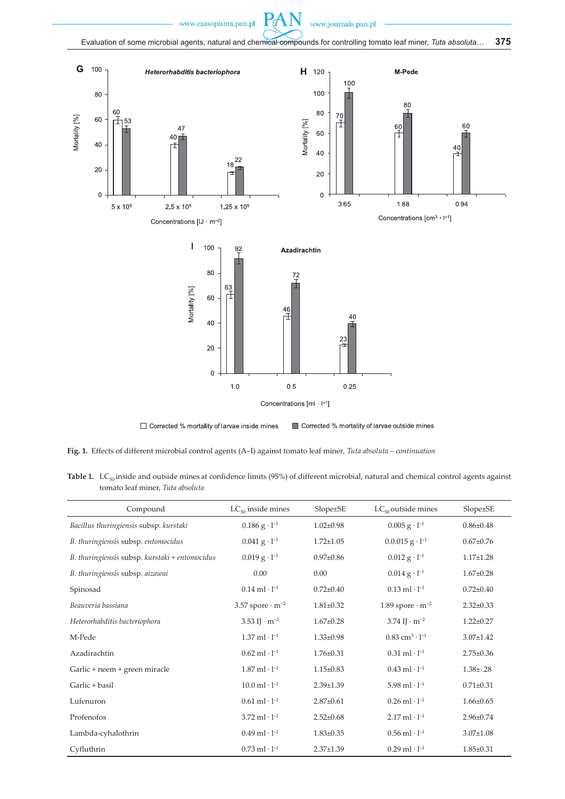P



□ Corrected % mortality of larvae inside mines Corrected % mortality of larvae outside mines

**Fig. 1.** Effects of different microbial control agents (A–I) against tomato leaf miner*, Tuta absoluta – continuation*

Table 1. LC<sub>50</sub> inside and outside mines at confidence limits (95%) of different microbial, natural and chemical control agents against tomato leaf miner, *Tuta absoluta*

| Compound                                       | $LC_{50}$ inside mines             | $Slope \pm SE$  | $LC_{50}$ outside mines              | $Slope \pm SE$  |
|------------------------------------------------|------------------------------------|-----------------|--------------------------------------|-----------------|
| Bacillus thuringiensis subsp. kurstaki         | $0.186$ g $\cdot$ l <sup>-1</sup>  | $1.02 \pm 0.98$ | $0.005$ g $\cdot$ l <sup>-1</sup>    | $0.86 \pm 0.48$ |
| B. thuringiensis subsp. entomocidus            | $0.041 g \cdot l^{-1}$             | $1.72 \pm 1.05$ | $0.0.015$ g $\cdot$ l <sup>-1</sup>  | $0.67 \pm 0.76$ |
| B. thuringiensis subsp. kurstaki + entomocidus | $0.019$ g $\cdot$ l <sup>-1</sup>  | $0.97 \pm 0.86$ | $0.012$ g $\cdot$ l <sup>-1</sup>    | $1.17 \pm 1.28$ |
| B. thuringiensis subsp. aizawai                | 0.00                               | 0.00            | $0.014$ g $\cdot$ l <sup>-1</sup>    | $1.67 \pm 0.28$ |
| Spinosad                                       | $0.14$ ml $\cdot$ l <sup>-1</sup>  | $0.72 \pm 0.40$ | $0.13$ ml $\cdot$ l <sup>-1</sup>    | $0.72{\pm}0.40$ |
| Beauveria bassiana                             | 3.57 spore $\cdot$ m <sup>-2</sup> | $1.81 \pm 0.32$ | 1.89 spore $\cdot$ m <sup>-2</sup>   | $2.32 \pm 0.33$ |
| Heterorhabditis bacteriophora                  | 3.53 IJ $\cdot$ m <sup>-2</sup>    | $1.67 \pm 0.28$ | $3.74 \text{ I} \cdot \text{m}^{-2}$ | $1.22 \pm 0.27$ |
| M-Pede                                         | $1.37$ ml $\cdot$ l <sup>-1</sup>  | $1.33 \pm 0.98$ | $0.83~\mathrm{cm^3\cdot l^{-1}}$     | $3.07 \pm 1.42$ |
| Azadirachtin                                   | $0.62$ ml $\cdot$ l <sup>-1</sup>  | $1.76 \pm 0.31$ | $0.31$ ml $\cdot$ l <sup>-1</sup>    | $2.75 \pm 0.36$ |
| Garlic + neem + green miracle                  | $1.87$ ml $\cdot$ l <sup>-1</sup>  | $1.15 \pm 0.83$ | $0.43$ ml $\cdot$ l <sup>-1</sup>    | $1.38\pm.28$    |
| Garlic + basil                                 | $10.0$ ml $\cdot$ l <sup>-1</sup>  | $2.39 \pm 1.39$ | 5.98 ml $\cdot$ l <sup>-1</sup>      | $0.71 \pm 0.31$ |
| Lufenuron                                      | $0.61$ ml $\cdot$ l <sup>-1</sup>  | $2.87 \pm 0.61$ | $0.26$ ml $\cdot$ l <sup>-1</sup>    | $1.66 \pm 0.65$ |
| Profenofos                                     | $3.72$ ml $\cdot$ l <sup>-1</sup>  | $2.52 \pm 0.68$ | $2.17$ ml $\cdot$ l <sup>-1</sup>    | $2.96 \pm 0.74$ |
| Lambda-cyhalothrin                             | $0.49$ ml $\cdot$ l <sup>-1</sup>  | $1.83 \pm 0.35$ | $0.56$ ml $\cdot$ l <sup>-1</sup>    | $3.07 \pm 1.08$ |
| Cyfluthrin                                     | $0.73$ ml $\cdot$ l <sup>-1</sup>  | $2.37 \pm 1.39$ | $0.29$ ml $\cdot$ l <sup>-1</sup>    | $1.85 \pm 0.31$ |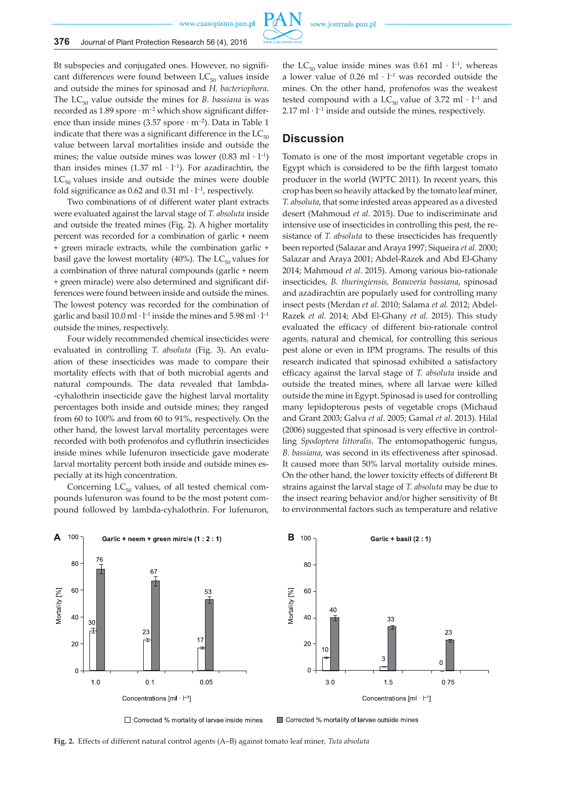

Bt subspecies and conjugated ones. However, no significant differences were found between  $LC_{50}$  values inside and outside the mines for spinosad and *H. bacteriophora*. The  $LC_{50}$  value outside the mines for *B. bassiana* is was recorded as  $1.89$  spore  $\cdot$  m<sup>-2</sup> which show significant difference than inside mines (3.57 spore  $\cdot$  m<sup>-2</sup>). Data in Table 1 indicate that there was a significant difference in the  $LC_{50}$ value between larval mortalities inside and outside the mines; the value outside mines was lower  $(0.83 \text{ ml} \cdot \text{ l}^{-1})$ than insides mines (1.37 ml  $\cdot$  l<sup>-1</sup>). For azadirachtin, the  $LC_{50}$  values inside and outside the mines were double fold significance as 0.62 and 0.31 ml  $\cdot$  l<sup>-1</sup>, respectively.

Two combinations of of different water plant extracts were evaluated against the larval stage of *T. absoluta* inside and outside the treated mines (Fig. 2). A higher mortality percent was recorded for a combination of garlic + neem + green miracle extracts, while the combination garlic + basil gave the lowest mortality (40%). The  $LC_{50}$  values for a combination of three natural compounds (garlic + neem + green miracle) were also determined and significant differences were found between inside and outside the mines. The lowest potency was recorded for the combination of garlic and basil 10.0 ml  $\cdot$  l<sup>-1</sup> inside the mines and 5.98 ml  $\cdot$  l<sup>-1</sup> outside the mines, respectively.

Four widely recommended chemical insecticides were evaluated in controlling *T. absoluta* (Fig. 3). An evaluation of these insecticides was made to compare their mortality effects with that of both microbial agents and natural compounds. The data revealed that lambda- -cyhalothrin insecticide gave the highest larval mortality percentages both inside and outside mines; they ranged from 60 to 100% and from 60 to 91%, respectively. On the other hand, the lowest larval mortality percentages were recorded with both profenofos and cyfluthrin insecticides inside mines while lufenuron insecticide gave moderate larval mortality percent both inside and outside mines especially at its high concentration.

Concerning  $LC_{50}$  values, of all tested chemical compounds lufenuron was found to be the most potent compound followed by lambda-cyhalothrin. For lufenuron,

the LC<sub>50</sub> value inside mines was 0.61 ml  $\cdot$  l<sup>-1</sup>, whereas a lower value of  $0.26$  ml  $\cdot$  l<sup>-1</sup> was recorded outside the mines. On the other hand, profenofos was the weakest tested compound with a  $LC_{50}$  value of 3.72 ml  $\cdot$  l<sup>-1</sup> and  $2.17$  ml $\cdot$  l<sup>-1</sup> inside and outside the mines, respectively.

# **Discussion**

Tomato is one of the most important vegetable crops in Egypt which is considered to be the fifth largest tomato producer in the world (WPTC 2011). In recent years, this crop has been so heavily attacked by the tomato leaf miner, *T. absoluta*, that some infested areas appeared as a divested desert (Mahmoud *et al.* 2015). Due to indiscriminate and intensive use of insecticides in controlling this pest, the resistance of *T. absoluta* to these insecticides has frequently been reported (Salazar and Araya 1997; Siqueira *et al.* 2000; Salazar and Araya 2001; Abdel-Razek and Abd El-Ghany 2014; Mahmoud *et al*. 2015). Among various bio-rationale insecticides, *B. thuringiensis, Beauveria bassiana*, spinosad and azadirachtin are popularly used for controlling many insect pests (Merdan *et al*. 2010; Salama *et al.* 2012; Abdel-Razek *et al.* 2014; Abd El-Ghany *et al.* 2015). This study evaluated the efficacy of different bio-rationale control agents, natural and chemical, for controlling this serious pest alone or even in IPM programs. The results of this research indicated that spinosad exhibited a satisfactory efficacy against the larval stage of *T. absoluta* inside and outside the treated mines, where all larvae were killed outside the mine in Egypt. Spinosad is used for controlling many lepidopterous pests of vegetable crops (Michaud and Grant 2003; Galva *et al*. 2005; Gamal *et al*. 2013). Hilal (2006) suggested that spinosad is very effective in controlling *Spodoptera littoralis*. The entomopathogenic fungus, *B. bassiana*, was second in its effectiveness after spinosad. It caused more than 50% larval mortality outside mines. On the other hand, the lower toxicity effects of different Bt strains against the larval stage of *T. absoluta* may be due to the insect rearing behavior and/or higher sensitivity of Bt to environmental factors such as temperature and relative



□ Corrected % mortality of larvae inside mines



■ Corrected % mortality of larvae outside mines

**Fig. 2.** Effects of different natural control agents (A–B) against tomato leaf miner*, Tuta absoluta*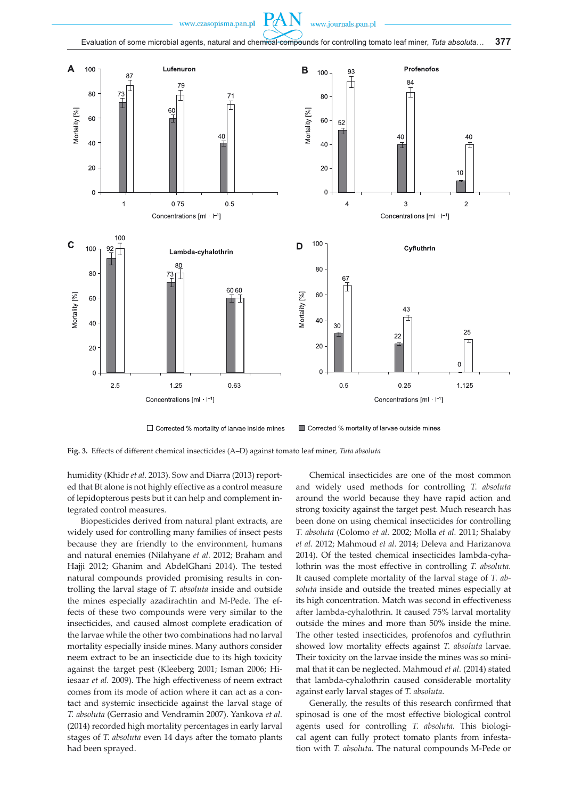

□ Corrected % mortality of larvae inside mines

Corrected % mortality of larvae outside mines

**Fig. 3.** Effects of different chemical insecticides (A–D) against tomato leaf miner*, Tuta absoluta*

humidity (Khidr *et al.* 2013). Sow and Diarra (2013) reported that Bt alone is not highly effective as a control measure of lepidopterous pests but it can help and complement integrated control measures.

Biopesticides derived from natural plant extracts, are widely used for controlling many families of insect pests because they are friendly to the environment, humans and natural enemies (Nilahyane *et al.* 2012; Braham and Hajji 2012; Ghanim and AbdelGhani 2014). The tested natural compounds provided promising results in controlling the larval stage of *T. absoluta* inside and outside the mines especially azadirachtin and M-Pede. The effects of these two compounds were very similar to the insecticides, and caused almost complete eradication of the larvae while the other two combinations had no larval mortality especially inside mines. Many authors consider neem extract to be an insecticide due to its high toxicity against the target pest (Kleeberg 2001; Isman 2006; Hiiesaar *et al.* 2009). The high effectiveness of neem extract comes from its mode of action where it can act as a contact and systemic insecticide against the larval stage of *T. absoluta* (Gerrasio and Vendramin 2007). Yankova *et al.* (2014) recorded high mortality percentages in early larval stages of *T. absoluta* even 14 days after the tomato plants had been sprayed.

Chemical insecticides are one of the most common and widely used methods for controlling *T. absoluta*  around the world because they have rapid action and strong toxicity against the target pest. Much research has been done on using chemical insecticides for controlling *T. absoluta* (Colomo *et al.* 2002; Molla *et al.* 2011; Shalaby *et al.* 2012; Mahmoud *et al.* 2014; Deleva and Harizanova 2014). Of the tested chemical insecticides lambda-cyhalothrin was the most effective in controlling *T. absoluta.* It caused complete mortality of the larval stage of *T. absoluta* inside and outside the treated mines especially at its high concentration. Match was second in effectiveness after lambda-cyhalothrin. It caused 75% larval mortality outside the mines and more than 50% inside the mine. The other tested insecticides, profenofos and cyfluthrin showed low mortality effects against *T. absoluta* larvae. Their toxicity on the larvae inside the mines was so minimal that it can be neglected. Mahmoud *et al.* (2014) stated that lambda-cyhalothrin caused considerable mortality against early larval stages of *T. absoluta*.

Generally, the results of this research confirmed that spinosad is one of the most effective biological control agents used for controlling *T. absoluta*. This biological agent can fully protect tomato plants from infestation with *T. absoluta*. The natural compounds M-Pede or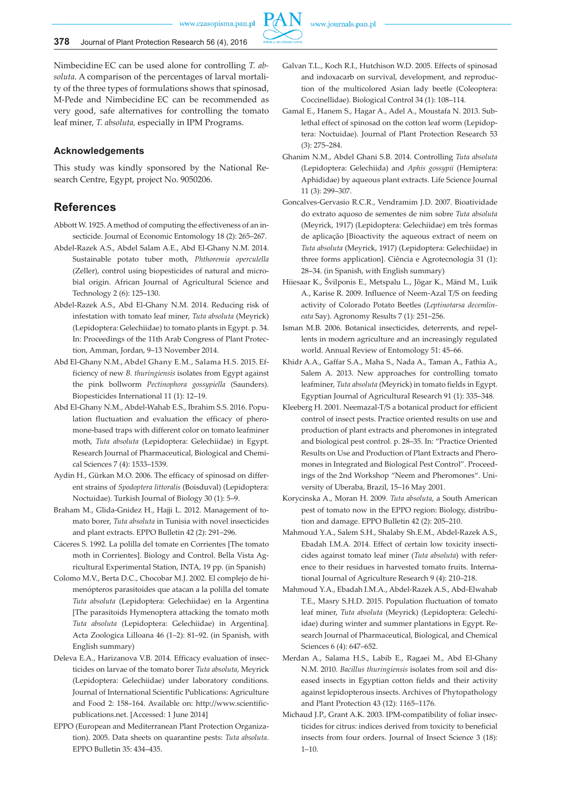

Nimbecidine EC can be used alone for controlling *T. absoluta*. A comparison of the percentages of larval mortality of the three types of formulations shows that spinosad, M-Pede and Nimbecidine EC can be recommended as very good, safe alternatives for controlling the tomato leaf miner, *T. absoluta,* especially in IPM Programs.

### **Acknowledgements**

This study was kindly sponsored by the National Research Centre, Egypt, project No. 9050206.

## **References**

- Abbott W. 1925. A method of computing the effectiveness of an insecticide. Journal of Economic Entomology 18 (2): 265–267.
- Abdel-Razek A.S., Abdel Salam A.E., Abd El-Ghany N.M. 2014. Sustainable potato tuber moth, *Phthoremia operculella* (Zeller), control using biopesticides of natural and microbial origin. African Journal of Agricultural Science and Technology 2 (6): 125–130.
- Abdel-Razek A.S., Abd El-Ghany N.M. 2014. Reducing risk of infestation with tomato leaf miner, *Tuta absoluta* (Meyrick) (Lepidoptera: Gelechiidae) to tomato plants in Egypt. p. 34. In: Proceedings of the 11th Arab Congress of Plant Protection, Amman, Jordan, 9–13 November 2014.
- Abd El-Ghany N.M., Abdel Ghany E.M., Salama H.S. 2015. Efficiency of new *B. thuringiensis* isolates from Egypt against the pink bollworm *Pectinophora gossypiella* (Saunders). Biopesticides International 11 (1): 12–19.
- Abd El-Ghany N.M., Abdel-Wahab E.S., Ibrahim S.S. 2016. Population fluctuation and evaluation the efficacy of pheromone-based traps with different color on tomato leafminer moth, *Tuta absoluta* (Lepidoptera: Gelechiidae) in Egypt. Research Journal of Pharmaceutical, Biological and Chemical Sciences 7 (4): 1533–1539.
- Aydin H., Gürkan M.O. 2006. The efficacy of spinosad on different strains of *Spodoptera littoralis* (Boisduval) (Lepidoptera: Noctuidae). Turkish Journal of Biology 30 (1): 5–9.
- Braham M., Glida-Gnidez H., Hajji L. 2012. Management of tomato borer, *Tuta absoluta* in Tunisia with novel insecticides and plant extracts. EPPO Bulletin 42 (2): 291–296.
- Cáceres S. 1992. La polilla del tomate en Corrientes [The tomato moth in Corrientes]. Biology and Control. Bella Vista Agricultural Experimental Station, INTA, 19 pp. (in Spanish)
- Colomo M.V., Berta D.C., Chocobar M.J. 2002. El complejo de himenópteros parasitoides que atacan a la polilla del tomate *Tuta absoluta* (Lepidoptera: Gelechiidae) en la Argentina [The parasitoids Hymenoptera attacking the tomato moth *Tuta absoluta* (Lepidoptera: Gelechiidae) in Argentina]. Acta Zoologica Lilloana 46 (1–2): 81–92. (in Spanish, with English summary)
- Deleva E.A., Harizanova V.B. 2014. Efficacy evaluation of insecticides on larvae of the tomato borer *Tuta absoluta*, Meyrick (Lepidoptera: Gelechiidae) under laboratory conditions. Journal of International Scientific Publications: Agriculture and Food 2: 158–164. Available on: http://www.scientificpublications.net. [Accessed: 1 June 2014]
- EPPO (European and Mediterranean Plant Protection Organization). 2005. Data sheets on quarantine pests: *Tuta absoluta*. EPPO Bulletin 35: 434–435.
- Galvan T.L., Koch R.I., Hutchison W.D. 2005. Effects of spinosad and indoxacarb on survival, development, and reproduction of the multicolored Asian lady beetle (Coleoptera: Coccinellidae). Biological Control 34 (1): 108–114.
- Gamal E., Hanem S., Hagar A., Adel A., Moustafa N. 2013. Sublethal effect of spinosad on the cotton leaf worm (Lepidoptera: Noctuidae). Journal of Plant Protection Research 53 (3): 275–284.
- Ghanim N.M., Abdel Ghani S.B. 2014. Controlling *Tuta absoluta*  (Lepidoptera: Gelechiida) and *Aphis gossypii* (Hemiptera: Aphididae) by aqueous plant extracts. Life Science Journal 11 (3): 299–307.
- Goncalves-Gervasio R.C.R., Vendramim J.D. 2007. Bioatividade do extrato aquoso de sementes de nim sobre *Tuta absoluta*  (Meyrick, 1917) (Lepidoptera: Gelechiidae) em três formas de aplicação [Bioactivity the aqueous extract of neem on *Tuta absoluta* (Meyrick, 1917) (Lepidoptera: Gelechiidae) in three forms application]. Ciência e Agrotecnologia 31 (1): 28–34. (in Spanish, with English summary)
- Hiiesaar K., Švilponis E., Metspalu L., Jõgar K., Mänd M., Luik A., Karise R. 2009. Influence of Neem-Azal T/S on feeding activity of Colorado Potato Beetles (*Leptinotarsa decemlineata* Say). Agronomy Results 7 (1): 251–256.
- Isman M.B. 2006. Botanical insecticides, deterrents, and repellents in modern agriculture and an increasingly regulated world. Annual Review of Entomology 51: 45–66.
- Khidr A.A., Gaffar S.A., Maha S., Nada A., Taman A., Fathia A., Salem A. 2013. New approaches for controlling tomato leafminer, *Tuta absoluta* (Meyrick) in tomato fields in Egypt. Egyptian Journal of Agricultural Research 91 (1): 335–348.
- Kleeberg H. 2001. Neemazal-T/S a botanical product for efficient control of insect pests. Practice oriented results on use and production of plant extracts and pheromones in integrated and biological pest control. p. 28–35. In: "Practice Oriented Results on Use and Production of Plant Extracts and Pheromones in Integrated and Biological Pest Control". Proceedings of the 2nd Workshop "Neem and Pheromones". University of Uberaba, Brazil, 15–16 May 2001.
- Korycinska A., Moran H. 2009. *Tuta absoluta*, a South American pest of tomato now in the EPPO region: Biology, distribution and damage. EPPO Bulletin 42 (2): 205–210.
- Mahmoud Y.A., Salem S.H., Shalaby Sh.E.M., Abdel-Razek A.S., Ebadah I.M.A. 2014. Effect of certain low toxicity insecticides against tomato leaf miner (*Tuta absoluta*) with reference to their residues in harvested tomato fruits. International Journal of Agriculture Research 9 (4): 210–218.
- Mahmoud Y.A., Ebadah I.M.A., Abdel-Razek A.S., Abd-Elwahab T.E., Masry S.H.D. 2015. Population fluctuation of tomato leaf miner, *Tuta absoluta* (Meyrick) (Lepidoptera: Gelechiidae) during winter and summer plantations in Egypt. Research Journal of Pharmaceutical, Biological, and Chemical Sciences 6 (4): 647–652.
- Merdan A., Salama H.S., Labib E., Ragaei M., Abd El-Ghany N.M. 2010. *Bacillus thuringiensis* isolates from soil and diseased insects in Egyptian cotton fields and their activity against lepidopterous insects. Archives of Phytopathology and Plant Protection 43 (12): 1165–1176.
- Michaud J.P., Grant A.K. 2003. IPM-compatibility of foliar insecticides for citrus: indices derived from toxicity to beneficial insects from four orders. Journal of Insect Science 3 (18):  $1 - 10$ .